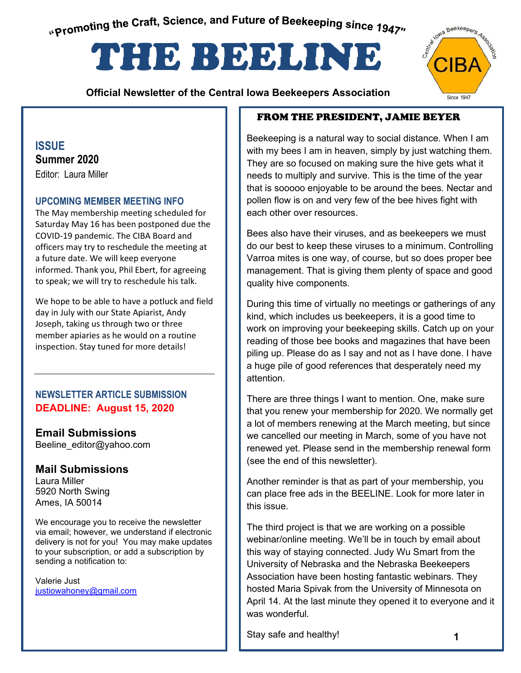<span id="page-0-0"></span>"Promoting the Craft, Science, and Future of Beekeeping since 1947"

# THE BEELINE

 **Official Newsletter of the Central Iowa Beekeepers Association** 

#### **ISSUE Summer 2020**  Editor: Laura Miller

#### **UPCOMING MEMBER MEETING INFO**

The May membership meeting scheduled for Saturday May 16 has been postponed due the COVID-19 pandemic. The CIBA Board and officers may try to reschedule the meeting at a future date. We will keep everyone informed. Thank you, Phil Ebert, for agreeing to speak; we will try to reschedule his talk.

We hope to be able to have a potluck and field day in July with our State Apiarist, Andy Joseph, taking us through two or three member apiaries as he would on a routine inspection. Stay tuned for more details!

#### **NEWSLETTER ARTICLE SUBMISSION DEADLINE: August 15, 2020**

## **Email Submissions**

Beeline\_editor@yahoo.com

#### **Mail Submissions**

Laura Miller 5920 North Swing Ames, IA 50014

**Contents**  delivery is not for you! You may make updates We encourage you to receive the newsletter via email; however, we understand if electronic to your subscription, or add a subscription by sending a notification to:

Valerie Just justiowahoney@gmail.com

#### FROM THE PRESIDENT, JAMIE BEYER

Beekeeping is a natural way to social distance. When I am with my bees I am in heaven, simply by just watching them. They are so focused on making sure the hive gets what it needs to multiply and survive. This is the time of the year that is sooooo enjoyable to be around the bees. Nectar and pollen flow is on and very few of the bee hives fight with each other over resources.

Bees also have their viruses, and as beekeepers we must do our best to keep these viruses to a minimum. Controlling Varroa mites is one way, of course, but so does proper bee management. That is giving them plenty of space and good quality hive components.

During this time of virtually no meetings or gatherings of any kind, which includes us beekeepers, it is a good time to work on improving your beekeeping skills. Catch up on your reading of those bee books and magazines that have been piling up. Please do as I say and not as I have done. I have a huge pile of good references that desperately need my attention.

There are three things I want to mention. One, make sure that you renew your membership for 2020. We normally get a lot of members renewing at the March meeting, but since we cancelled our meeting in March, some of you have not renewed yet. Please send in the membership renewal form (see the end of this newsletter).

Another reminder is that as part of your membership, you can place free ads in the BEELINE. Look for more later in this issue.

The third project is that we are working on a possible webinar/online meeting. We'll be in touch by email about this way of staying connected. Judy Wu Smart from the University of Nebraska and the Nebraska Beekeepers Association have been hosting fantastic webinars. They hosted Maria Spivak from the University of Minnesota on April 14. At the last minute they opened it to everyone and it was wonderful.

Stay safe and healthy!

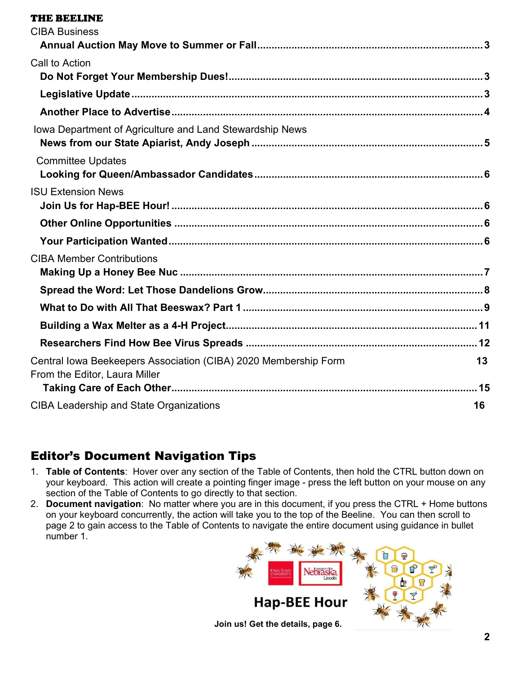#### [THE BEELINE](#page-0-0)

| <b>CIBA Business</b>                                                                             |    |
|--------------------------------------------------------------------------------------------------|----|
|                                                                                                  |    |
| Call to Action                                                                                   |    |
|                                                                                                  |    |
|                                                                                                  |    |
|                                                                                                  |    |
| Iowa Department of Agriculture and Land Stewardship News                                         |    |
| <b>Committee Updates</b>                                                                         |    |
| <b>ISU Extension News</b>                                                                        |    |
|                                                                                                  |    |
|                                                                                                  |    |
| <b>CIBA Member Contributions</b>                                                                 |    |
|                                                                                                  |    |
|                                                                                                  |    |
|                                                                                                  |    |
|                                                                                                  |    |
| Central Iowa Beekeepers Association (CIBA) 2020 Membership Form<br>From the Editor, Laura Miller | 13 |
|                                                                                                  |    |
| <b>CIBA Leadership and State Organizations</b>                                                   | 16 |

# Editor's Document Navigation Tips

- 1. **Table of Contents**: Hover over any section of the Table of Contents, then hold the CTRL button down on your keyboard. This action will create a pointing finger image - press the left button on your mouse on any section of the Table of Contents to go directly to that section.
- 2. **Document navigation**: No matter where you are in this document, if you press the CTRL + Home buttons on your keyboard concurrently, the action will take you to the top of the Beeline. You can then scroll to page 2 to gain access to the Table of Contents to navigate the entire document using guidance in bullet number 1.

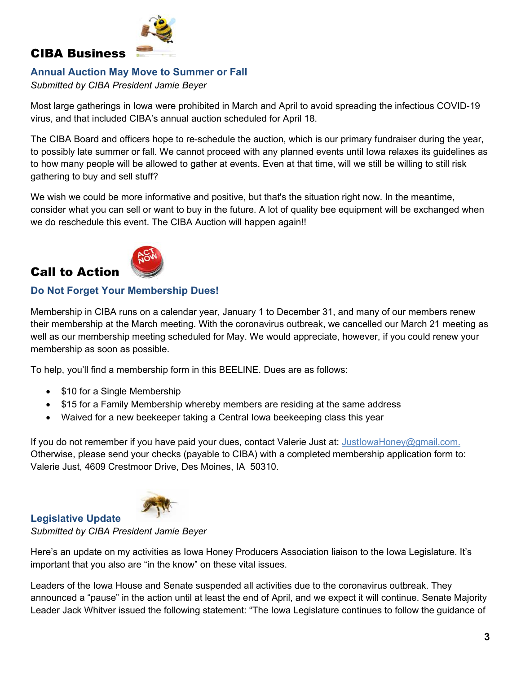

## <span id="page-2-0"></span>CIBA Business

#### <span id="page-2-1"></span>**Annual Auction May Move to Summer or Fall**

*Submitted by CIBA President Jamie Beyer*

Most large gatherings in Iowa were prohibited in March and April to avoid spreading the infectious COVID-19 virus, and that included CIBA's annual auction scheduled for April 18.

The CIBA Board and officers hope to re-schedule the auction, which is our primary fundraiser during the year, to possibly late summer or fall. We cannot proceed with any planned events until Iowa relaxes its guidelines as to how many people will be allowed to gather at events. Even at that time, will we still be willing to still risk gathering to buy and sell stuff?

We wish we could be more informative and positive, but that's the situation right now. In the meantime, consider what you can sell or want to buy in the future. A lot of quality bee equipment will be exchanged when we do reschedule this event. The CIBA Auction will happen again!!



# <span id="page-2-2"></span>Call to Action

#### <span id="page-2-3"></span>**Do Not Forget Your Membership Dues!**

Membership in CIBA runs on a calendar year, January 1 to December 31, and many of our members renew their membership at the March meeting. With the coronavirus outbreak, we cancelled our March 21 meeting as well as our membership meeting scheduled for May. We would appreciate, however, if you could renew your membership as soon as possible.

To help, you'll find a membership form in this BEELINE. Dues are as follows:

- \$10 for a Single Membership
- \$15 for a Family Membership whereby members are residing at the same address
- Waived for a new beekeeper taking a Central Iowa beekeeping class this year

If you do not remember if you have paid your dues, contact Valerie Just at: JustlowaHoney@gmail.com. Otherwise, please send your checks (payable to CIBA) with a completed membership application form to: Valerie Just, 4609 Crestmoor Drive, Des Moines, IA 50310.



#### <span id="page-2-4"></span>**Legislative Update**  *Submitted by CIBA President Jamie Beyer*

Here's an update on my activities as Iowa Honey Producers Association liaison to the Iowa Legislature. It's important that you also are "in the know" on these vital issues.

Leaders of the Iowa House and Senate suspended all activities due to the coronavirus outbreak. They announced a "pause" in the action until at least the end of April, and we expect it will continue. Senate Majority Leader Jack Whitver issued the following statement: "The Iowa Legislature continues to follow the guidance of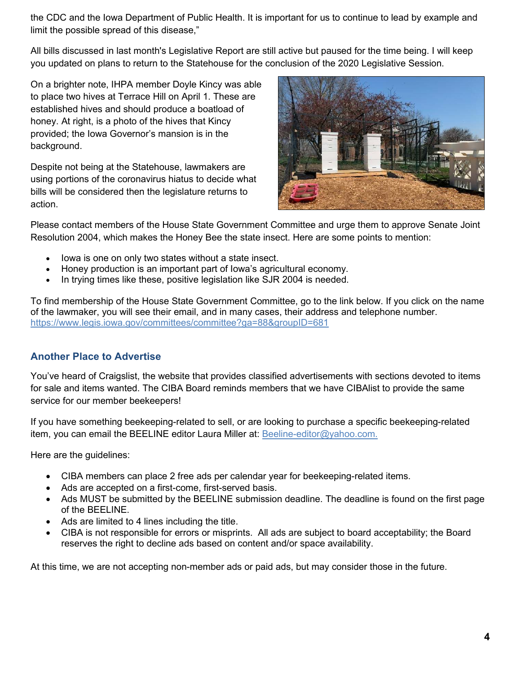the CDC and the Iowa Department of Public Health. It is important for us to continue to lead by example and limit the possible spread of this disease,"

All bills discussed in last month's Legislative Report are still active but paused for the time being. I will keep you updated on plans to return to the Statehouse for the conclusion of the 2020 Legislative Session.

On a brighter note, IHPA member Doyle Kincy was able to place two hives at Terrace Hill on April 1. These are established hives and should produce a boatload of honey. At right, is a photo of the hives that Kincy provided; the Iowa Governor's mansion is in the background.

Despite not being at the Statehouse, lawmakers are using portions of the coronavirus hiatus to decide what bills will be considered then the legislature returns to action.



Please contact members of the House State Government Committee and urge them to approve Senate Joint Resolution 2004, which makes the Honey Bee the state insect. Here are some points to mention:

- lowa is one on only two states without a state insect.
- Honey production is an important part of Iowa's agricultural economy.
- In trying times like these, positive legislation like SJR 2004 is needed.

To find membership of the House State Government Committee, go to the link below. If you click on the name of the lawmaker, you will see their email, and in many cases, their address and telephone number. https://www.legis.iowa.gov/committees/committee?ga=88&groupID=681

#### <span id="page-3-0"></span>**Another Place to Advertise**

You've heard of Craigslist, the website that provides classified advertisements with sections devoted to items for sale and items wanted. The CIBA Board reminds members that we have CIBAlist to provide the same service for our member beekeepers!

If you have something beekeeping-related to sell, or are looking to purchase a specific beekeeping-related item, you can email the BEELINE editor Laura Miller at: Beeline-editor@yahoo.com.

Here are the guidelines:

- CIBA members can place 2 free ads per calendar year for beekeeping-related items.
- Ads are accepted on a first-come, first-served basis.
- Ads MUST be submitted by the BEELINE submission deadline. The deadline is found on the first page of the BEELINE.
- Ads are limited to 4 lines including the title.
- CIBA is not responsible for errors or misprints. All ads are subject to board acceptability; the Board reserves the right to decline ads based on content and/or space availability.

At this time, we are not accepting non-member ads or paid ads, but may consider those in the future.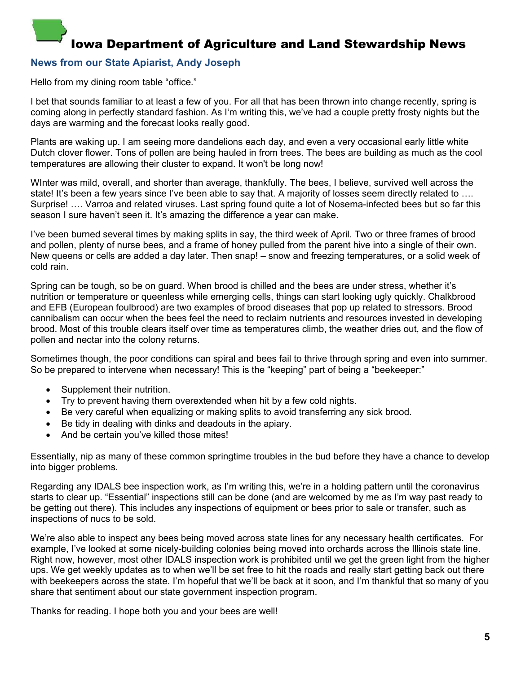# <span id="page-4-0"></span>Iowa Department of Agriculture and Land Stewardship News

#### <span id="page-4-1"></span>**News from our State Apiarist, Andy Joseph**

Hello from my dining room table "office."

I bet that sounds familiar to at least a few of you. For all that has been thrown into change recently, spring is coming along in perfectly standard fashion. As I'm writing this, we've had a couple pretty frosty nights but the days are warming and the forecast looks really good.

Plants are waking up. I am seeing more dandelions each day, and even a very occasional early little white Dutch clover flower. Tons of pollen are being hauled in from trees. The bees are building as much as the cool temperatures are allowing their cluster to expand. It won't be long now!

WInter was mild, overall, and shorter than average, thankfully. The bees, I believe, survived well across the state! It's been a few years since I've been able to say that. A majority of losses seem directly related to ... Surprise! …. Varroa and related viruses. Last spring found quite a lot of Nosema-infected bees but so far this season I sure haven't seen it. It's amazing the difference a year can make.

I've been burned several times by making splits in say, the third week of April. Two or three frames of brood and pollen, plenty of nurse bees, and a frame of honey pulled from the parent hive into a single of their own. New queens or cells are added a day later. Then snap! – snow and freezing temperatures, or a solid week of cold rain.

Spring can be tough, so be on guard. When brood is chilled and the bees are under stress, whether it's nutrition or temperature or queenless while emerging cells, things can start looking ugly quickly. Chalkbrood and EFB (European foulbrood) are two examples of brood diseases that pop up related to stressors. Brood cannibalism can occur when the bees feel the need to reclaim nutrients and resources invested in developing brood. Most of this trouble clears itself over time as temperatures climb, the weather dries out, and the flow of pollen and nectar into the colony returns.

Sometimes though, the poor conditions can spiral and bees fail to thrive through spring and even into summer. So be prepared to intervene when necessary! This is the "keeping" part of being a "beekeeper:"

- Supplement their nutrition.
- Try to prevent having them overextended when hit by a few cold nights.
- Be very careful when equalizing or making splits to avoid transferring any sick brood.
- Be tidy in dealing with dinks and deadouts in the apiary.
- And be certain you've killed those mites!

Essentially, nip as many of these common springtime troubles in the bud before they have a chance to develop into bigger problems.

Regarding any IDALS bee inspection work, as I'm writing this, we're in a holding pattern until the coronavirus starts to clear up. "Essential" inspections still can be done (and are welcomed by me as I'm way past ready to be getting out there). This includes any inspections of equipment or bees prior to sale or transfer, such as inspections of nucs to be sold.

We're also able to inspect any bees being moved across state lines for any necessary health certificates. For example, I've looked at some nicely-building colonies being moved into orchards across the Illinois state line. Right now, however, most other IDALS inspection work is prohibited until we get the green light from the higher ups. We get weekly updates as to when we'll be set free to hit the roads and really start getting back out there with beekeepers across the state. I'm hopeful that we'll be back at it soon, and I'm thankful that so many of you share that sentiment about our state government inspection program.

Thanks for reading. I hope both you and your bees are well!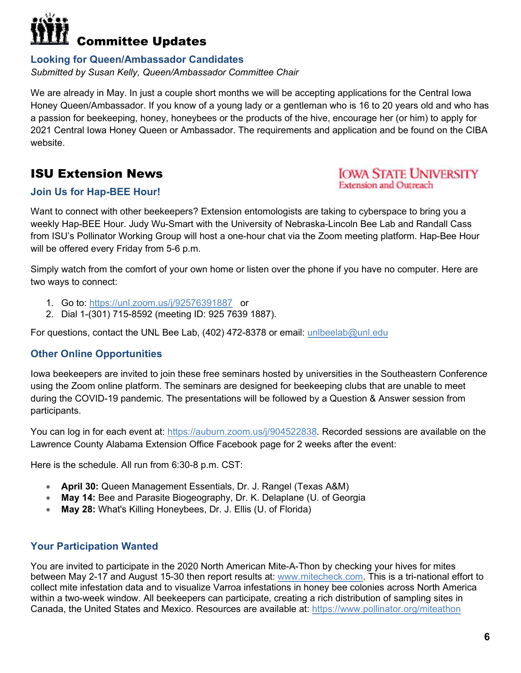# <span id="page-5-0"></span>Committee Updates

## <span id="page-5-1"></span>**Looking for Queen/Ambassador Candidates**

*Submitted by Susan Kelly, Queen/Ambassador Committee Chair* 

We are already in May. In just a couple short months we will be accepting applications for the Central Iowa Honey Queen/Ambassador. If you know of a young lady or a gentleman who is 16 to 20 years old and who has a passion for beekeeping, honey, honeybees or the products of the hive, encourage her (or him) to apply for 2021 Central Iowa Honey Queen or Ambassador. The requirements and application and be found on the CIBA website.

# <span id="page-5-2"></span>ISU Extension News

## **IOWA STATE UNIVERSITY Extension and Outreach**

## <span id="page-5-3"></span>**Join Us for Hap-BEE Hour!**

Want to connect with other beekeepers? Extension entomologists are taking to cyberspace to bring you a weekly Hap-BEE Hour. Judy Wu-Smart with the University of Nebraska-Lincoln Bee Lab and Randall Cass from ISU's Pollinator Working Group will host a one-hour chat via the Zoom meeting platform. Hap-Bee Hour will be offered every Friday from 5-6 p.m.

Simply watch from the comfort of your own home or listen over the phone if you have no computer. Here are two ways to connect:

- 1. Go to: https://unl.zoom.us/j/92576391887 or
- 2. Dial 1-(301) 715-8592 (meeting ID: 925 7639 1887).

For questions, contact the UNL Bee Lab, (402) 472-8378 or email: unlbeelab@unl.edu

# <span id="page-5-4"></span>**Other Online Opportunities**

Iowa beekeepers are invited to join these free seminars hosted by universities in the Southeastern Conference using the Zoom online platform. The seminars are designed for beekeeping clubs that are unable to meet during the COVID-19 pandemic. The presentations will be followed by a Question & Answer session from participants.

You can log in for each event at: https://auburn.zoom.us/j/904522838. Recorded sessions are available on the Lawrence County Alabama Extension Office Facebook page for 2 weeks after the event:

Here is the schedule. All run from 6:30-8 p.m. CST:

- **April 30:** Queen Management Essentials, Dr. J. Rangel (Texas A&M)
- **May 14:** Bee and Parasite Biogeography, Dr. K. Delaplane (U. of Georgia
- **May 28:** What's Killing Honeybees, Dr. J. Ellis (U. of Florida)

# <span id="page-5-5"></span>**Your Participation Wanted**

You are invited to participate in the 2020 North American Mite-A-Thon by checking your hives for mites between May 2-17 and August 15-30 then report results at: www.mitecheck.com. This is a tri-national effort to collect mite infestation data and to visualize Varroa infestations in honey bee colonies across North America within a two-week window. All beekeepers can participate, creating a rich distribution of sampling sites in Canada, the United States and Mexico. Resources are available at: https://www.pollinator.org/miteathon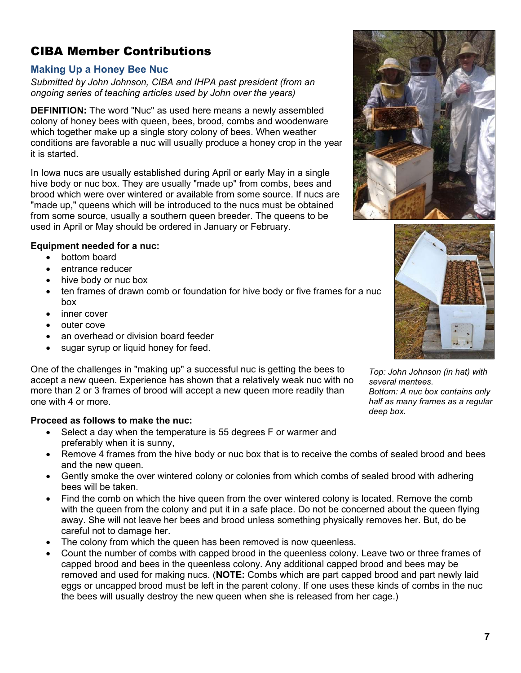# <span id="page-6-0"></span>CIBA Member Contributions

#### <span id="page-6-1"></span>**Making Up a Honey Bee Nuc**

*Submitted by John Johnson, CIBA and IHPA past president (from an ongoing series of teaching articles used by John over the years)* 

**DEFINITION:** The word "Nuc" as used here means a newly assembled colony of honey bees with queen, bees, brood, combs and woodenware which together make up a single story colony of bees. When weather conditions are favorable a nuc will usually produce a honey crop in the year it is started.

In Iowa nucs are usually established during April or early May in a single hive body or nuc box. They are usually "made up" from combs, bees and brood which were over wintered or available from some source. If nucs are "made up," queens which will be introduced to the nucs must be obtained from some source, usually a southern queen breeder. The queens to be used in April or May should be ordered in January or February.

#### **Equipment needed for a nuc:**

- bottom board
- entrance reducer
- hive body or nuc box
- ten frames of drawn comb or foundation for hive body or five frames for a nuc box
- inner cover
- outer cove
- an overhead or division board feeder
- sugar syrup or liquid honey for feed.

One of the challenges in "making up" a successful nuc is getting the bees to accept a new queen. Experience has shown that a relatively weak nuc with no more than 2 or 3 frames of brood will accept a new queen more readily than one with 4 or more.

#### **Proceed as follows to make the nuc:**

- Select a day when the temperature is 55 degrees F or warmer and preferably when it is sunny,
- Remove 4 frames from the hive body or nuc box that is to receive the combs of sealed brood and bees and the new queen.
- Gently smoke the over wintered colony or colonies from which combs of sealed brood with adhering bees will be taken.
- Find the comb on which the hive queen from the over wintered colony is located. Remove the comb with the queen from the colony and put it in a safe place. Do not be concerned about the queen flying away. She will not leave her bees and brood unless something physically removes her. But, do be careful not to damage her.
- The colony from which the queen has been removed is now queenless.
- Count the number of combs with capped brood in the queenless colony. Leave two or three frames of capped brood and bees in the queenless colony. Any additional capped brood and bees may be removed and used for making nucs. (**NOTE:** Combs which are part capped brood and part newly laid eggs or uncapped brood must be left in the parent colony. If one uses these kinds of combs in the nuc the bees will usually destroy the new queen when she is released from her cage.)





*Top: John Johnson (in hat) with several mentees. Bottom: A nuc box contains only half as many frames as a regular deep box.*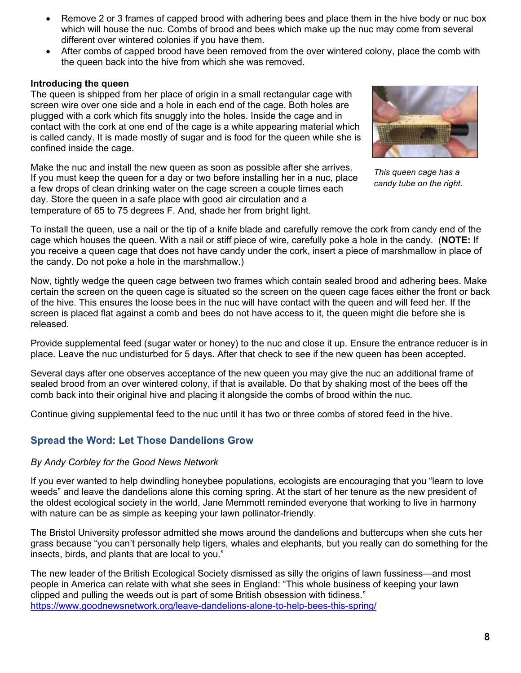- Remove 2 or 3 frames of capped brood with adhering bees and place them in the hive body or nuc box which will house the nuc. Combs of brood and bees which make up the nuc may come from several different over wintered colonies if you have them.
- After combs of capped brood have been removed from the over wintered colony, place the comb with the queen back into the hive from which she was removed.

#### **Introducing the queen**

The queen is shipped from her place of origin in a small rectangular cage with screen wire over one side and a hole in each end of the cage. Both holes are plugged with a cork which fits snuggly into the holes. Inside the cage and in contact with the cork at one end of the cage is a white appearing material which is called candy. It is made mostly of sugar and is food for the queen while she is confined inside the cage.

Make the nuc and install the new queen as soon as possible after she arrives. If you must keep the queen for a day or two before installing her in a nuc, place a few drops of clean drinking water on the cage screen a couple times each day. Store the queen in a safe place with good air circulation and a temperature of 65 to 75 degrees F. And, shade her from bright light.



*This queen cage has a candy tube on the right.* 

To install the queen, use a nail or the tip of a knife blade and carefully remove the cork from candy end of the cage which houses the queen. With a nail or stiff piece of wire, carefully poke a hole in the candy. (**NOTE:** If you receive a queen cage that does not have candy under the cork, insert a piece of marshmallow in place of the candy. Do not poke a hole in the marshmallow.)

Now, tightly wedge the queen cage between two frames which contain sealed brood and adhering bees. Make certain the screen on the queen cage is situated so the screen on the queen cage faces either the front or back of the hive. This ensures the loose bees in the nuc will have contact with the queen and will feed her. If the screen is placed flat against a comb and bees do not have access to it, the queen might die before she is released.

Provide supplemental feed (sugar water or honey) to the nuc and close it up. Ensure the entrance reducer is in place. Leave the nuc undisturbed for 5 days. After that check to see if the new queen has been accepted.

Several days after one observes acceptance of the new queen you may give the nuc an additional frame of sealed brood from an over wintered colony, if that is available. Do that by shaking most of the bees off the comb back into their original hive and placing it alongside the combs of brood within the nuc.

Continue giving supplemental feed to the nuc until it has two or three combs of stored feed in the hive.

#### <span id="page-7-0"></span>**Spread the Word: Let Those Dandelions Grow**

#### *By Andy Corbley for the Good News Network*

If you ever wanted to help dwindling honeybee populations, ecologists are encouraging that you "learn to love weeds" and leave the dandelions alone this coming spring. At the start of her tenure as the new president of the oldest ecological society in the world, Jane Memmott reminded everyone that working to live in harmony with nature can be as simple as keeping your lawn pollinator-friendly.

The Bristol University professor admitted she mows around the dandelions and buttercups when she cuts her grass because "you can't personally help tigers, whales and elephants, but you really can do something for the insects, birds, and plants that are local to you."

The new leader of the British Ecological Society dismissed as silly the origins of lawn fussiness—and most people in America can relate with what she sees in England: "This whole business of keeping your lawn clipped and pulling the weeds out is part of some British obsession with tidiness." https://www.goodnewsnetwork.org/leave-dandelions-alone-to-help-bees-this-spring/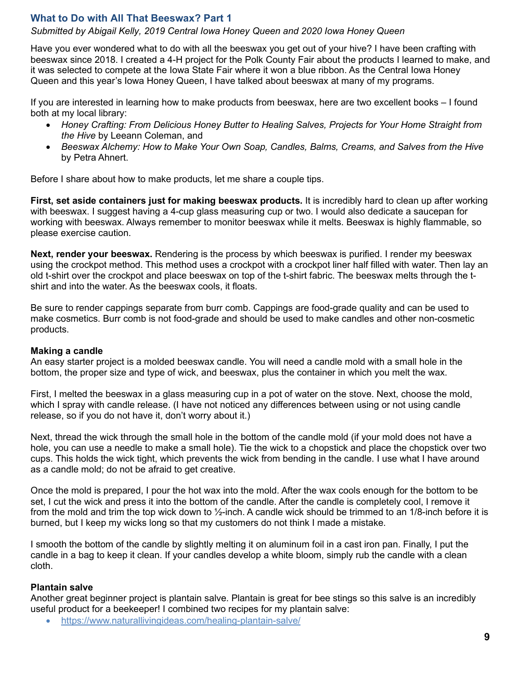#### <span id="page-8-0"></span>**What to Do with All That Beeswax? Part 1**

*Submitted by Abigail Kelly, 2019 Central Iowa Honey Queen and 2020 Iowa Honey Queen* 

Have you ever wondered what to do with all the beeswax you get out of your hive? I have been crafting with beeswax since 2018. I created a 4-H project for the Polk County Fair about the products I learned to make, and it was selected to compete at the Iowa State Fair where it won a blue ribbon. As the Central Iowa Honey Queen and this year's Iowa Honey Queen, I have talked about beeswax at many of my programs.

If you are interested in learning how to make products from beeswax, here are two excellent books – I found both at my local library:

- *Honey Crafting: From Delicious Honey Butter to Healing Salves, Projects for Your Home Straight from the Hive* by Leeann Coleman, and
- *Beeswax Alchemy: How to Make Your Own Soap, Candles, Balms, Creams, and Salves from the Hive* by Petra Ahnert.

Before I share about how to make products, let me share a couple tips.

**First, set aside containers just for making beeswax products.** It is incredibly hard to clean up after working with beeswax. I suggest having a 4-cup glass measuring cup or two. I would also dedicate a saucepan for working with beeswax. Always remember to monitor beeswax while it melts. Beeswax is highly flammable, so please exercise caution.

**Next, render your beeswax.** Rendering is the process by which beeswax is purified. I render my beeswax using the crockpot method. This method uses a crockpot with a crockpot liner half filled with water. Then lay an old t-shirt over the crockpot and place beeswax on top of the t-shirt fabric. The beeswax melts through the tshirt and into the water. As the beeswax cools, it floats.

Be sure to render cappings separate from burr comb. Cappings are food-grade quality and can be used to make cosmetics. Burr comb is not food-grade and should be used to make candles and other non-cosmetic products.

#### **Making a candle**

An easy starter project is a molded beeswax candle. You will need a candle mold with a small hole in the bottom, the proper size and type of wick, and beeswax, plus the container in which you melt the wax.

First, I melted the beeswax in a glass measuring cup in a pot of water on the stove. Next, choose the mold, which I spray with candle release. (I have not noticed any differences between using or not using candle release, so if you do not have it, don't worry about it.)

Next, thread the wick through the small hole in the bottom of the candle mold (if your mold does not have a hole, you can use a needle to make a small hole). Tie the wick to a chopstick and place the chopstick over two cups. This holds the wick tight, which prevents the wick from bending in the candle. I use what I have around as a candle mold; do not be afraid to get creative.

Once the mold is prepared, I pour the hot wax into the mold. After the wax cools enough for the bottom to be set, I cut the wick and press it into the bottom of the candle. After the candle is completely cool, I remove it from the mold and trim the top wick down to ½-inch. A candle wick should be trimmed to an 1/8-inch before it is burned, but I keep my wicks long so that my customers do not think I made a mistake.

I smooth the bottom of the candle by slightly melting it on aluminum foil in a cast iron pan. Finally, I put the candle in a bag to keep it clean. If your candles develop a white bloom, simply rub the candle with a clean cloth.

#### **Plantain salve**

Another great beginner project is plantain salve. Plantain is great for bee stings so this salve is an incredibly useful product for a beekeeper! I combined two recipes for my plantain salve:

https://www.naturallivingideas.com/healing-plantain-salve/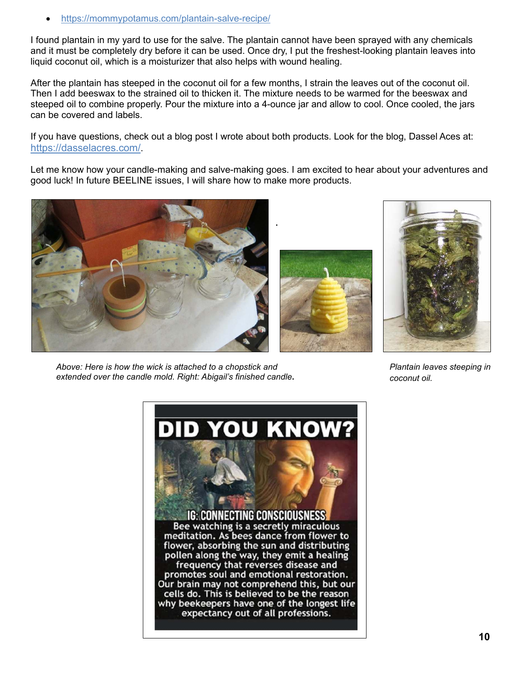https://mommypotamus.com/plantain-salve-recipe/

I found plantain in my yard to use for the salve. The plantain cannot have been sprayed with any chemicals and it must be completely dry before it can be used. Once dry, I put the freshest-looking plantain leaves into liquid coconut oil, which is a moisturizer that also helps with wound healing.

After the plantain has steeped in the coconut oil for a few months, I strain the leaves out of the coconut oil. Then I add beeswax to the strained oil to thicken it. The mixture needs to be warmed for the beeswax and steeped oil to combine properly. Pour the mixture into a 4-ounce jar and allow to cool. Once cooled, the jars can be covered and labels.

If you have questions, check out a blog post I wrote about both products. Look for the blog, Dassel Aces at: https://dasselacres.com/.

Let me know how your candle-making and salve-making goes. I am excited to hear about your adventures and good luck! In future BEELINE issues, I will share how to make more products.







*Plantain leaves steeping in coconut oil.* 

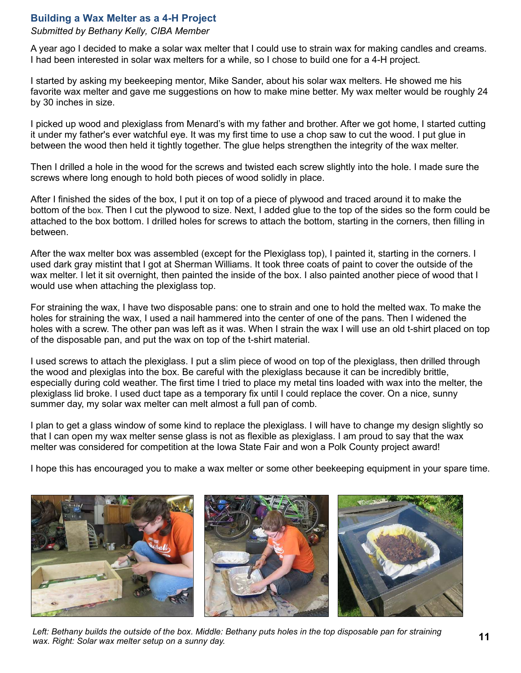#### <span id="page-10-0"></span>**Building a Wax Melter as a 4-H Project**

#### *Submitted by Bethany Kelly, CIBA Member*

A year ago I decided to make a solar wax melter that I could use to strain wax for making candles and creams. I had been interested in solar wax melters for a while, so I chose to build one for a 4-H project.

I started by asking my beekeeping mentor, Mike Sander, about his solar wax melters. He showed me his favorite wax melter and gave me suggestions on how to make mine better. My wax melter would be roughly 24 by 30 inches in size.

I picked up wood and plexiglass from Menard's with my father and brother. After we got home, I started cutting it under my father's ever watchful eye. It was my first time to use a chop saw to cut the wood. I put glue in between the wood then held it tightly together. The glue helps strengthen the integrity of the wax melter.

Then I drilled a hole in the wood for the screws and twisted each screw slightly into the hole. I made sure the screws where long enough to hold both pieces of wood solidly in place.

After I finished the sides of the box, I put it on top of a piece of plywood and traced around it to make the bottom of the box. Then I cut the plywood to size. Next, I added glue to the top of the sides so the form could be attached to the box bottom. I drilled holes for screws to attach the bottom, starting in the corners, then filling in between.

After the wax melter box was assembled (except for the Plexiglass top), I painted it, starting in the corners. I used dark gray mistint that I got at Sherman Williams. It took three coats of paint to cover the outside of the wax melter. I let it sit overnight, then painted the inside of the box. I also painted another piece of wood that I would use when attaching the plexiglass top.

For straining the wax, I have two disposable pans: one to strain and one to hold the melted wax. To make the holes for straining the wax, I used a nail hammered into the center of one of the pans. Then I widened the holes with a screw. The other pan was left as it was. When I strain the wax I will use an old t-shirt placed on top of the disposable pan, and put the wax on top of the t-shirt material.

I used screws to attach the plexiglass. I put a slim piece of wood on top of the plexiglass, then drilled through the wood and plexiglas into the box. Be careful with the plexiglass because it can be incredibly brittle, especially during cold weather. The first time I tried to place my metal tins loaded with wax into the melter, the plexiglass lid broke. I used duct tape as a temporary fix until I could replace the cover. On a nice, sunny summer day, my solar wax melter can melt almost a full pan of comb.

I plan to get a glass window of some kind to replace the plexiglass. I will have to change my design slightly so that I can open my wax melter sense glass is not as flexible as plexiglass. I am proud to say that the wax melter was considered for competition at the Iowa State Fair and won a Polk County project award!

I hope this has encouraged you to make a wax melter or some other beekeeping equipment in your spare time.



*Left: Bethany builds the outside of the box. Middle: Bethany puts holes in the top disposable pan for straining wax. Right: Solar wax melter setup on a sunny day.*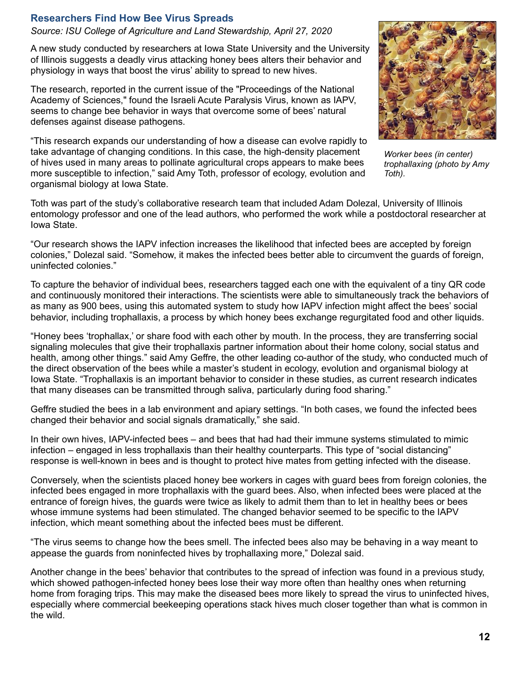#### <span id="page-11-0"></span>**Researchers Find How Bee Virus Spreads**

*Source: ISU College of Agriculture and Land Stewardship, April 27, 2020* 

A new study conducted by researchers at Iowa State University and the University of Illinois suggests a deadly virus attacking honey bees alters their behavior and physiology in ways that boost the virus' ability to spread to new hives.

The research, reported in the current issue of the "Proceedings of the National Academy of Sciences," found the Israeli Acute Paralysis Virus, known as IAPV, seems to change bee behavior in ways that overcome some of bees' natural defenses against disease pathogens.

"This research expands our understanding of how a disease can evolve rapidly to take advantage of changing conditions. In this case, the high-density placement of hives used in many areas to pollinate agricultural crops appears to make bees more susceptible to infection," said Amy Toth, professor of ecology, evolution and organismal biology at Iowa State.

*Worker bees (in center) trophallaxing (photo by Amy Toth).* 

Toth was part of the study's collaborative research team that included Adam Dolezal, University of Illinois entomology professor and one of the lead authors, who performed the work while a postdoctoral researcher at Iowa State.

"Our research shows the IAPV infection increases the likelihood that infected bees are accepted by foreign colonies," Dolezal said. "Somehow, it makes the infected bees better able to circumvent the guards of foreign, uninfected colonies."

To capture the behavior of individual bees, researchers tagged each one with the equivalent of a tiny QR code and continuously monitored their interactions. The scientists were able to simultaneously track the behaviors of as many as 900 bees, using this automated system to study how IAPV infection might affect the bees' social behavior, including trophallaxis, a process by which honey bees exchange regurgitated food and other liquids.

"Honey bees 'trophallax,' or share food with each other by mouth. In the process, they are transferring social signaling molecules that give their trophallaxis partner information about their home colony, social status and health, among other things." said Amy Geffre, the other leading co-author of the study, who conducted much of the direct observation of the bees while a master's student in ecology, evolution and organismal biology at Iowa State. "Trophallaxis is an important behavior to consider in these studies, as current research indicates that many diseases can be transmitted through saliva, particularly during food sharing."

Geffre studied the bees in a lab environment and apiary settings. "In both cases, we found the infected bees changed their behavior and social signals dramatically," she said.

In their own hives, IAPV-infected bees – and bees that had had their immune systems stimulated to mimic infection – engaged in less trophallaxis than their healthy counterparts. This type of "social distancing" response is well-known in bees and is thought to protect hive mates from getting infected with the disease.

Conversely, when the scientists placed honey bee workers in cages with guard bees from foreign colonies, the infected bees engaged in more trophallaxis with the guard bees. Also, when infected bees were placed at the entrance of foreign hives, the guards were twice as likely to admit them than to let in healthy bees or bees whose immune systems had been stimulated. The changed behavior seemed to be specific to the IAPV infection, which meant something about the infected bees must be different.

"The virus seems to change how the bees smell. The infected bees also may be behaving in a way meant to appease the guards from noninfected hives by trophallaxing more," Dolezal said.

Another change in the bees' behavior that contributes to the spread of infection was found in a previous study, which showed pathogen-infected honey bees lose their way more often than healthy ones when returning home from foraging trips. This may make the diseased bees more likely to spread the virus to uninfected hives, especially where commercial beekeeping operations stack hives much closer together than what is common in the wild.

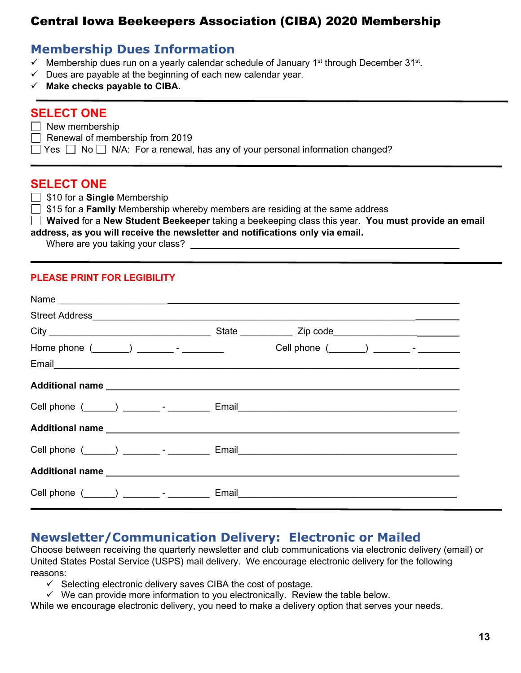# <span id="page-12-0"></span>Central Iowa Beekeepers Association (CIBA) 2020 Membership

# **Membership Dues Information**

- $\checkmark$  Membership dues run on a yearly calendar schedule of January 1<sup>st</sup> through December 31<sup>st</sup>.
- $\checkmark$  Dues are payable at the beginning of each new calendar year.
- **Make checks payable to CIBA.**

## **SELECT ONE**

- $\Box$  New membership
- $\Box$  Renewal of membership from 2019
- $\Box$  Yes  $\Box$  No  $\Box$  N/A: For a renewal, has any of your personal information changed?

### **SELECT ONE**

- □ \$10 for a **Single** Membership
- **15 for a Family** Membership whereby members are residing at the same address

 **Waived** for a **New Student Beekeeper** taking a beekeeping class this year. **You must provide an email address, as you will receive the newsletter and notifications only via email.** 

Where are you taking your class?

#### **PLEASE PRINT FOR LEGIBILITY**

|  | Cell phone (_____) _________- __________ Email___________________________________ |
|--|-----------------------------------------------------------------------------------|
|  |                                                                                   |
|  |                                                                                   |
|  |                                                                                   |
|  |                                                                                   |

# **Newsletter/Communication Delivery: Electronic or Mailed**

Choose between receiving the quarterly newsletter and club communications via electronic delivery (email) or United States Postal Service (USPS) mail delivery. We encourage electronic delivery for the following reasons:

- $\checkmark$  Selecting electronic delivery saves CIBA the cost of postage.
- $\checkmark$  We can provide more information to you electronically. Review the table below.

While we encourage electronic delivery, you need to make a delivery option that serves your needs.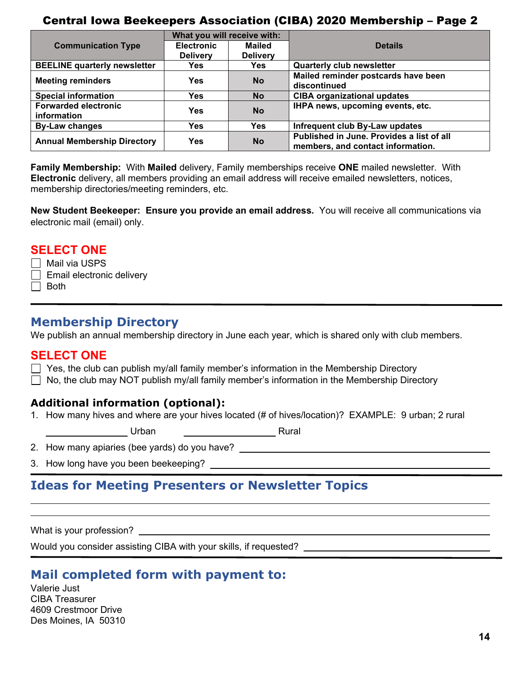## Central Iowa Beekeepers Association (CIBA) 2020 Membership – Page 2

| What you will receive with:                |                   |                 |                                                                                |
|--------------------------------------------|-------------------|-----------------|--------------------------------------------------------------------------------|
| <b>Communication Type</b>                  | <b>Electronic</b> | <b>Mailed</b>   | <b>Details</b>                                                                 |
|                                            | <b>Delivery</b>   | <b>Delivery</b> |                                                                                |
| <b>BEELINE quarterly newsletter</b>        | <b>Yes</b>        | <b>Yes</b>      | <b>Quarterly club newsletter</b>                                               |
| <b>Meeting reminders</b>                   | <b>Yes</b>        | <b>No</b>       | Mailed reminder postcards have been                                            |
|                                            |                   |                 | discontinued                                                                   |
| <b>Special information</b>                 | <b>Yes</b>        | <b>No</b>       | <b>CIBA organizational updates</b>                                             |
| <b>Forwarded electronic</b><br>information | <b>Yes</b>        | <b>No</b>       | IHPA news, upcoming events, etc.                                               |
| <b>By-Law changes</b>                      | <b>Yes</b>        | <b>Yes</b>      | Infrequent club By-Law updates                                                 |
| <b>Annual Membership Directory</b>         | <b>Yes</b>        | <b>No</b>       | Published in June. Provides a list of all<br>members, and contact information. |

**Family Membership:** With **Mailed** delivery, Family memberships receive **ONE** mailed newsletter. With **Electronic** delivery, all members providing an email address will receive emailed newsletters, notices, membership directories/meeting reminders, etc.

**New Student Beekeeper: Ensure you provide an email address.** You will receive all communications via electronic mail (email) only.

#### **SELECT ONE**

- $\Box$  Mail via USPS
- $\Box$  Email electronic delivery
- $\Box$  Both

## **Membership Directory**

We publish an annual membership directory in June each year, which is shared only with club members.

## **SELECT ONE**

- $\Box$  Yes, the club can publish my/all family member's information in the Membership Directory
- $\Box$  No, the club may NOT publish my/all family member's information in the Membership Directory

## **Additional information (optional):**

1. How many hives and where are your hives located (# of hives/location)? EXAMPLE: 9 urban; 2 rural

Urban Rural

- 2. How many apiaries (bee yards) do you have?
- 3. How long have you been beekeeping?

# **Ideas for Meeting Presenters or Newsletter Topics**

What is your profession?

 $\overline{a}$  $\overline{a}$ 

Would you consider assisting CIBA with your skills, if requested?

# **Mail completed form with payment to:**

Valerie Just CIBA Treasurer 4609 Crestmoor Drive Des Moines, IA 50310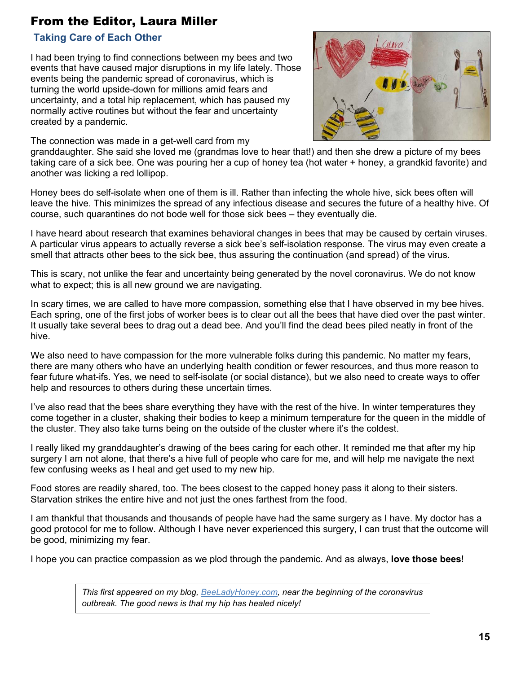# From the Editor, Laura Miller

#### <span id="page-14-1"></span> **Taking Care of Each Other**

I had been trying to find connections between my bees and two events that have caused major disruptions in my life lately. Those events being the pandemic spread of coronavirus, which is turning the world upside-down for millions amid fears and uncertainty, and a total hip replacement, which has paused my normally active routines but without the fear and uncertainty created by a pandemic.



The connection was made in a get-well card from my

granddaughter. She said she loved me (grandmas love to hear that!) and then she drew a picture of my bees taking care of a sick bee. One was pouring her a cup of honey tea (hot water + honey, a grandkid favorite) and another was licking a red lollipop.

Honey bees do self-isolate when one of them is ill. Rather than infecting the whole hive, sick bees often will leave the hive. This minimizes the spread of any infectious disease and secures the future of a healthy hive. Of course, such quarantines do not bode well for those sick bees – they eventually die.

I have heard about research that examines behavioral changes in bees that may be caused by certain viruses. A particular virus appears to actually reverse a sick bee's self-isolation response. The virus may even create a smell that attracts other bees to the sick bee, thus assuring the continuation (and spread) of the virus.

This is scary, not unlike the fear and uncertainty being generated by the novel coronavirus. We do not know what to expect; this is all new ground we are navigating.

In scary times, we are called to have more compassion, something else that I have observed in my bee hives. Each spring, one of the first jobs of worker bees is to clear out all the bees that have died over the past winter. It usually take several bees to drag out a dead bee. And you'll find the dead bees piled neatly in front of the hive.

We also need to have compassion for the more vulnerable folks during this pandemic. No matter my fears, there are many others who have an underlying health condition or fewer resources, and thus more reason to fear future what-ifs. Yes, we need to self-isolate (or social distance), but we also need to create ways to offer help and resources to others during these uncertain times.

I've also read that the bees share everything they have with the rest of the hive. In winter temperatures they come together in a cluster, shaking their bodies to keep a minimum temperature for the queen in the middle of the cluster. They also take turns being on the outside of the cluster where it's the coldest.

I really liked my granddaughter's drawing of the bees caring for each other. It reminded me that after my hip surgery I am not alone, that there's a hive full of people who care for me, and will help me navigate the next few confusing weeks as I heal and get used to my new hip.

Food stores are readily shared, too. The bees closest to the capped honey pass it along to their sisters. Starvation strikes the entire hive and not just the ones farthest from the food.

I am thankful that thousands and thousands of people have had the same surgery as I have. My doctor has a good protocol for me to follow. Although I have never experienced this surgery, I can trust that the outcome will be good, minimizing my fear.

I hope you can practice compassion as we plod through the pandemic. And as always, **love those bees**!

<span id="page-14-0"></span>*This first appeared on my blog, BeeLadyHoney.com, near the beginning of the coronavirus outbreak. The good news is that my hip has healed nicely!*